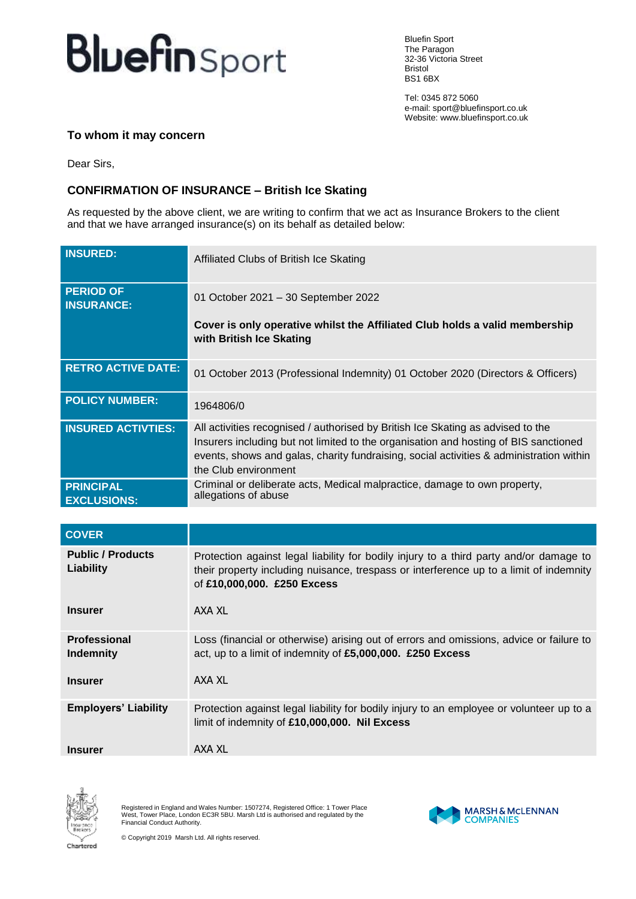## **Bluefin** Sport

Bluefin Sport The Paragon 32-36 Victoria Street Bristol BS1 6BX

Tel: 0345 872 5060 e-mail: sport@bluefinsport.co.uk Website: www.bluefinsport.co.uk

## **To whom it may concern**

Dear Sirs,

## **CONFIRMATION OF INSURANCE – British Ice Skating**

As requested by the above client, we are writing to confirm that we act as Insurance Brokers to the client and that we have arranged insurance(s) on its behalf as detailed below:

| <b>INSURED:</b>                        | Affiliated Clubs of British Ice Skating                                                                                                                                                                                                                                                    |
|----------------------------------------|--------------------------------------------------------------------------------------------------------------------------------------------------------------------------------------------------------------------------------------------------------------------------------------------|
| <b>PERIOD OF</b><br><b>INSURANCE:</b>  | 01 October 2021 - 30 September 2022                                                                                                                                                                                                                                                        |
|                                        | Cover is only operative whilst the Affiliated Club holds a valid membership<br>with British Ice Skating                                                                                                                                                                                    |
| <b>RETRO ACTIVE DATE:</b>              | 01 October 2013 (Professional Indemnity) 01 October 2020 (Directors & Officers)                                                                                                                                                                                                            |
| <b>POLICY NUMBER:</b>                  | 1964806/0                                                                                                                                                                                                                                                                                  |
| <b>INSURED ACTIVTIES:</b>              | All activities recognised / authorised by British Ice Skating as advised to the<br>Insurers including but not limited to the organisation and hosting of BIS sanctioned<br>events, shows and galas, charity fundraising, social activities & administration within<br>the Club environment |
| <b>PRINCIPAL</b><br><b>EXCLUSIONS:</b> | Criminal or deliberate acts, Medical malpractice, damage to own property,<br>allegations of abuse                                                                                                                                                                                          |
|                                        |                                                                                                                                                                                                                                                                                            |
| <b>COVER</b>                           |                                                                                                                                                                                                                                                                                            |
| <b>Public / Products</b><br>Liability  | Protection against legal liability for bodily injury to a third party and/or damage to<br>their property including nuisance, trespass or interference up to a limit of indemnity<br>of £10,000,000. £250 Excess                                                                            |
|                                        |                                                                                                                                                                                                                                                                                            |

| <b>Insurer</b>                                            | AXA XL                                                                                                                                                          |
|-----------------------------------------------------------|-----------------------------------------------------------------------------------------------------------------------------------------------------------------|
| <b>Professional</b><br><b>Indemnity</b><br><b>Insurer</b> | Loss (financial or otherwise) arising out of errors and omissions, advice or failure to<br>act, up to a limit of indemnity of £5,000,000. £250 Excess<br>AXA XL |
|                                                           |                                                                                                                                                                 |
| <b>Employers' Liability</b>                               | Protection against legal liability for bodily injury to an employee or volunteer up to a<br>limit of indemnity of £10,000,000. Nil Excess                       |
| <b>Insurer</b>                                            | AXA XL                                                                                                                                                          |



Registered in England and Wales Number: 1507274, Registered Office: 1 Tower Place West, Tower Place, London EC3R 5BU. Marsh Ltd is authorised and regulated by the Financial Conduct Authority.



© Copyright 2019 Marsh Ltd. All rights reserved.